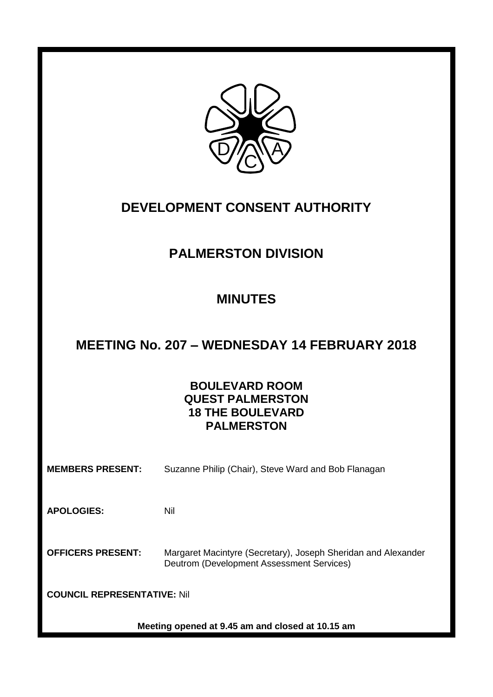

# **DEVELOPMENT CONSENT AUTHORITY**

# **PALMERSTON DIVISION**

# **MINUTES**

# **MEETING No. 207 – WEDNESDAY 14 FEBRUARY 2018**

## **BOULEVARD ROOM QUEST PALMERSTON 18 THE BOULEVARD PALMERSTON**

**MEMBERS PRESENT:** Suzanne Philip (Chair), Steve Ward and Bob Flanagan

**APOLOGIES:** Nil

**OFFICERS PRESENT:** Margaret Macintyre (Secretary), Joseph Sheridan and Alexander Deutrom (Development Assessment Services)

**COUNCIL REPRESENTATIVE:** Nil

**Meeting opened at 9.45 am and closed at 10.15 am**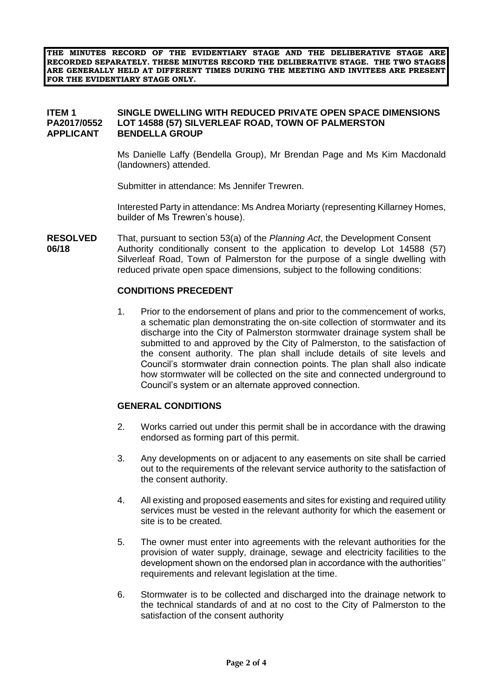**THE MINUTES RECORD OF THE EVIDENTIARY STAGE AND THE DELIBERATIVE STAGE ARE RECORDED SEPARATELY. THESE MINUTES RECORD THE DELIBERATIVE STAGE. THE TWO STAGES ARE GENERALLY HELD AT DIFFERENT TIMES DURING THE MEETING AND INVITEES ARE PRESENT FOR THE EVIDENTIARY STAGE ONLY.**

#### **ITEM 1 SINGLE DWELLING WITH REDUCED PRIVATE OPEN SPACE DIMENSIONS PA2017/0552 LOT 14588 (57) SILVERLEAF ROAD, TOWN OF PALMERSTON APPLICANT BENDELLA GROUP**

Ms Danielle Laffy (Bendella Group), Mr Brendan Page and Ms Kim Macdonald (landowners) attended.

Submitter in attendance: Ms Jennifer Trewren.

Interested Party in attendance: Ms Andrea Moriarty (representing Killarney Homes, builder of Ms Trewren's house).

**RESOLVED** That, pursuant to section 53(a) of the *Planning Act*, the Development Consent **06/18** Authority conditionally consent to the application to develop Lot 14588 (57) Silverleaf Road, Town of Palmerston for the purpose of a single dwelling with reduced private open space dimensions, subject to the following conditions:

#### **CONDITIONS PRECEDENT**

1. Prior to the endorsement of plans and prior to the commencement of works, a schematic plan demonstrating the on-site collection of stormwater and its discharge into the City of Palmerston stormwater drainage system shall be submitted to and approved by the City of Palmerston, to the satisfaction of the consent authority. The plan shall include details of site levels and Council's stormwater drain connection points. The plan shall also indicate how stormwater will be collected on the site and connected underground to Council's system or an alternate approved connection.

### **GENERAL CONDITIONS**

- 2. Works carried out under this permit shall be in accordance with the drawing endorsed as forming part of this permit.
- 3. Any developments on or adjacent to any easements on site shall be carried out to the requirements of the relevant service authority to the satisfaction of the consent authority.
- 4. All existing and proposed easements and sites for existing and required utility services must be vested in the relevant authority for which the easement or site is to be created.
- 5. The owner must enter into agreements with the relevant authorities for the provision of water supply, drainage, sewage and electricity facilities to the development shown on the endorsed plan in accordance with the authorities'' requirements and relevant legislation at the time.
- 6. Stormwater is to be collected and discharged into the drainage network to the technical standards of and at no cost to the City of Palmerston to the satisfaction of the consent authority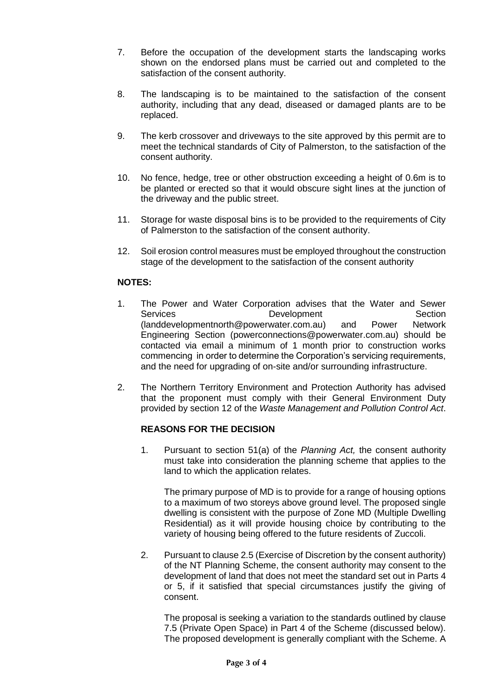- 7. Before the occupation of the development starts the landscaping works shown on the endorsed plans must be carried out and completed to the satisfaction of the consent authority.
- 8. The landscaping is to be maintained to the satisfaction of the consent authority, including that any dead, diseased or damaged plants are to be replaced.
- 9. The kerb crossover and driveways to the site approved by this permit are to meet the technical standards of City of Palmerston, to the satisfaction of the consent authority.
- 10. No fence, hedge, tree or other obstruction exceeding a height of 0.6m is to be planted or erected so that it would obscure sight lines at the junction of the driveway and the public street.
- 11. Storage for waste disposal bins is to be provided to the requirements of City of Palmerston to the satisfaction of the consent authority.
- 12. Soil erosion control measures must be employed throughout the construction stage of the development to the satisfaction of the consent authority

### **NOTES:**

- 1. The Power and Water Corporation advises that the Water and Sewer Services **Development** Section [\(landdevelopmentnorth@powerwater.com.au\)](mailto:landdevelopmentnorth@powerwater.com.au) and Power Network Engineering Section [\(powerconnections@powerwater.com.au\)](mailto:powerconnections@powerwater.com.au) should be contacted via email a minimum of 1 month prior to construction works commencing in order to determine the Corporation's servicing requirements, and the need for upgrading of on-site and/or surrounding infrastructure.
- 2. The Northern Territory Environment and Protection Authority has advised that the proponent must comply with their General Environment Duty provided by section 12 of the *Waste Management and Pollution Control Act*.

### **REASONS FOR THE DECISION**

1. Pursuant to section 51(a) of the *Planning Act,* the consent authority must take into consideration the planning scheme that applies to the land to which the application relates.

The primary purpose of MD is to provide for a range of housing options to a maximum of two storeys above ground level. The proposed single dwelling is consistent with the purpose of Zone MD (Multiple Dwelling Residential) as it will provide housing choice by contributing to the variety of housing being offered to the future residents of Zuccoli.

2. Pursuant to clause 2.5 (Exercise of Discretion by the consent authority) of the NT Planning Scheme, the consent authority may consent to the development of land that does not meet the standard set out in Parts 4 or 5, if it satisfied that special circumstances justify the giving of consent.

The proposal is seeking a variation to the standards outlined by clause 7.5 (Private Open Space) in Part 4 of the Scheme (discussed below). The proposed development is generally compliant with the Scheme. A